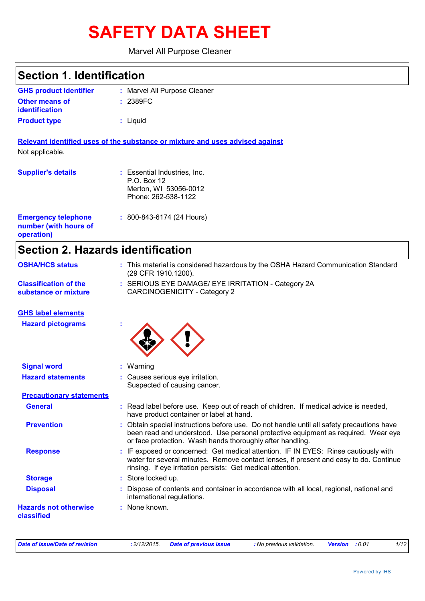# **SAFETY DATA SHEET**

Marvel All Purpose Cleaner

| <b>Section 1. Identification</b>                                  |                                                                                                                                                                                                                                             |  |  |  |
|-------------------------------------------------------------------|---------------------------------------------------------------------------------------------------------------------------------------------------------------------------------------------------------------------------------------------|--|--|--|
| <b>GHS product identifier</b>                                     | : Marvel All Purpose Cleaner                                                                                                                                                                                                                |  |  |  |
| <b>Other means of</b><br><b>identification</b>                    | : 2389FC                                                                                                                                                                                                                                    |  |  |  |
| <b>Product type</b>                                               | : Liquid                                                                                                                                                                                                                                    |  |  |  |
|                                                                   | Relevant identified uses of the substance or mixture and uses advised against                                                                                                                                                               |  |  |  |
| Not applicable.                                                   |                                                                                                                                                                                                                                             |  |  |  |
| <b>Supplier's details</b>                                         | : Essential Industries, Inc.<br>P.O. Box 12<br>Merton, WI 53056-0012<br>Phone: 262-538-1122                                                                                                                                                 |  |  |  |
| <b>Emergency telephone</b><br>number (with hours of<br>operation) | : 800-843-6174 (24 Hours)                                                                                                                                                                                                                   |  |  |  |
| <b>Section 2. Hazards identification</b>                          |                                                                                                                                                                                                                                             |  |  |  |
| <b>OSHA/HCS status</b>                                            | : This material is considered hazardous by the OSHA Hazard Communication Standard<br>(29 CFR 1910.1200).                                                                                                                                    |  |  |  |
| <b>Classification of the</b><br>substance or mixture              | : SERIOUS EYE DAMAGE/ EYE IRRITATION - Category 2A<br><b>CARCINOGENICITY - Category 2</b>                                                                                                                                                   |  |  |  |
| <b>GHS label elements</b>                                         |                                                                                                                                                                                                                                             |  |  |  |
| <b>Hazard pictograms</b>                                          |                                                                                                                                                                                                                                             |  |  |  |
| <b>Signal word</b>                                                | : Warning                                                                                                                                                                                                                                   |  |  |  |
| <b>Hazard statements</b>                                          | Causes serious eye irritation.<br>Suspected of causing cancer.                                                                                                                                                                              |  |  |  |
| <b>Precautionary statements</b>                                   |                                                                                                                                                                                                                                             |  |  |  |
| <b>General</b>                                                    | : Read label before use. Keep out of reach of children. If medical advice is needed,<br>have product container or label at hand.                                                                                                            |  |  |  |
| <b>Prevention</b>                                                 | : Obtain special instructions before use. Do not handle until all safety precautions have<br>been read and understood. Use personal protective equipment as required. Wear eye<br>or face protection. Wash hands thoroughly after handling. |  |  |  |
| <b>Response</b>                                                   | : IF exposed or concerned: Get medical attention. IF IN EYES: Rinse cautiously with<br>water for several minutes. Remove contact lenses, if present and easy to do. Continue<br>rinsing. If eye irritation persists: Get medical attention. |  |  |  |
| <b>Storage</b>                                                    | : Store locked up.                                                                                                                                                                                                                          |  |  |  |
| <b>Disposal</b>                                                   | Dispose of contents and container in accordance with all local, regional, national and<br>international regulations.                                                                                                                        |  |  |  |
| <b>Hazards not otherwise</b><br>classified                        | : None known.                                                                                                                                                                                                                               |  |  |  |

*Date of issue/Date of revision* **:** *2/12/2015. Date of previous issue : No previous validation. Version : 0.01 1/12*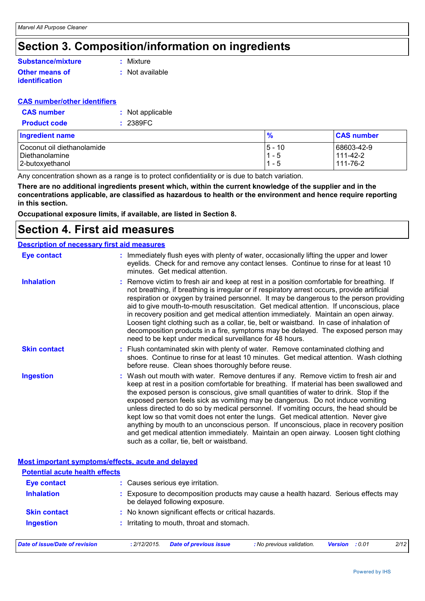### **Section 3. Composition/information on ingredients**

### **Substance/mixture**

#### **Other means of identification**

**:** Mixture

**:** Not available

#### **CAS number/other identifiers**

| <b>CAS number</b>   | : Not applicable |
|---------------------|------------------|
| <b>Product code</b> | : 2389FC         |

| <b>Ingredient name</b>     | $\frac{9}{6}$ | <b>CAS number</b> |
|----------------------------|---------------|-------------------|
| Coconut oil diethanolamide | $15 - 10$     | 68603-42-9        |
| Diethanolamine             | 1 - 5         | 111-42-2          |
| 2-butoxyethanol            | - 5           | 111-76-2          |

Any concentration shown as a range is to protect confidentiality or is due to batch variation.

**There are no additional ingredients present which, within the current knowledge of the supplier and in the concentrations applicable, are classified as hazardous to health or the environment and hence require reporting in this section.**

**Occupational exposure limits, if available, are listed in Section 8.**

### **Section 4. First aid measures**

#### **Description of necessary first aid measures**

| <u>2000 Priori of Hooddodi y mot and modelared</u><br><b>Eye contact</b> | : Immediately flush eyes with plenty of water, occasionally lifting the upper and lower                                                                                                                                                                                                                                                                                                                                                                                                                                                                                                                                                                                                                                                                                   |
|--------------------------------------------------------------------------|---------------------------------------------------------------------------------------------------------------------------------------------------------------------------------------------------------------------------------------------------------------------------------------------------------------------------------------------------------------------------------------------------------------------------------------------------------------------------------------------------------------------------------------------------------------------------------------------------------------------------------------------------------------------------------------------------------------------------------------------------------------------------|
|                                                                          | eyelids. Check for and remove any contact lenses. Continue to rinse for at least 10<br>minutes. Get medical attention.                                                                                                                                                                                                                                                                                                                                                                                                                                                                                                                                                                                                                                                    |
| <b>Inhalation</b>                                                        | : Remove victim to fresh air and keep at rest in a position comfortable for breathing. If<br>not breathing, if breathing is irregular or if respiratory arrest occurs, provide artificial<br>respiration or oxygen by trained personnel. It may be dangerous to the person providing<br>aid to give mouth-to-mouth resuscitation. Get medical attention. If unconscious, place<br>in recovery position and get medical attention immediately. Maintain an open airway.<br>Loosen tight clothing such as a collar, tie, belt or waistband. In case of inhalation of<br>decomposition products in a fire, symptoms may be delayed. The exposed person may<br>need to be kept under medical surveillance for 48 hours.                                                       |
| <b>Skin contact</b>                                                      | : Flush contaminated skin with plenty of water. Remove contaminated clothing and<br>shoes. Continue to rinse for at least 10 minutes. Get medical attention. Wash clothing<br>before reuse. Clean shoes thoroughly before reuse.                                                                                                                                                                                                                                                                                                                                                                                                                                                                                                                                          |
| <b>Ingestion</b>                                                         | : Wash out mouth with water. Remove dentures if any. Remove victim to fresh air and<br>keep at rest in a position comfortable for breathing. If material has been swallowed and<br>the exposed person is conscious, give small quantities of water to drink. Stop if the<br>exposed person feels sick as vomiting may be dangerous. Do not induce vomiting<br>unless directed to do so by medical personnel. If vomiting occurs, the head should be<br>kept low so that vomit does not enter the lungs. Get medical attention. Never give<br>anything by mouth to an unconscious person. If unconscious, place in recovery position<br>and get medical attention immediately. Maintain an open airway. Loosen tight clothing<br>such as a collar, tie, belt or waistband. |
| Most important symptoms/effects, acute and delayed                       |                                                                                                                                                                                                                                                                                                                                                                                                                                                                                                                                                                                                                                                                                                                                                                           |

| <b>Potential acute health effects</b> |                                                                                                                     |                                  |                           |                       |  |      |
|---------------------------------------|---------------------------------------------------------------------------------------------------------------------|----------------------------------|---------------------------|-----------------------|--|------|
| <b>Eye contact</b>                    |                                                                                                                     | : Causes serious eye irritation. |                           |                       |  |      |
| <b>Inhalation</b>                     | Exposure to decomposition products may cause a health hazard. Serious effects may<br>be delayed following exposure. |                                  |                           |                       |  |      |
| <b>Skin contact</b>                   | : No known significant effects or critical hazards.                                                                 |                                  |                           |                       |  |      |
| <b>Ingestion</b>                      | Irritating to mouth, throat and stomach.                                                                            |                                  |                           |                       |  |      |
| <b>Date of issue/Date of revision</b> | : 2/12/2015.                                                                                                        | <b>Date of previous issue</b>    | : No previous validation. | <b>Version</b> : 0.01 |  | 2/12 |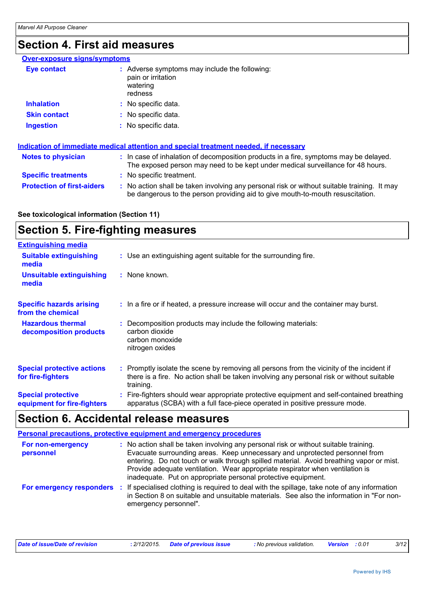### **Section 4. First aid measures**

#### **Over-exposure signs/symptoms**

| Eye contact         | : Adverse symptoms may include the following:<br>pain or irritation<br>watering<br>redness |
|---------------------|--------------------------------------------------------------------------------------------|
| <b>Inhalation</b>   | : No specific data.                                                                        |
| <b>Skin contact</b> | : No specific data.                                                                        |
| <b>Ingestion</b>    | : No specific data.                                                                        |

| Indication of immediate medical attention and special treatment needed, if necessary |  |                                                                                                                                                                               |  |  |
|--------------------------------------------------------------------------------------|--|-------------------------------------------------------------------------------------------------------------------------------------------------------------------------------|--|--|
| <b>Notes to physician</b>                                                            |  | : In case of inhalation of decomposition products in a fire, symptoms may be delayed.<br>The exposed person may need to be kept under medical surveillance for 48 hours.      |  |  |
| <b>Specific treatments</b>                                                           |  | : No specific treatment.                                                                                                                                                      |  |  |
| <b>Protection of first-aiders</b>                                                    |  | : No action shall be taken involving any personal risk or without suitable training. It may<br>be dangerous to the person providing aid to give mouth-to-mouth resuscitation. |  |  |

#### **See toxicological information (Section 11)**

### **Section 5. Fire-fighting measures**

| <b>Extinguishing media</b>                               |                                                                                                                                                                                                     |
|----------------------------------------------------------|-----------------------------------------------------------------------------------------------------------------------------------------------------------------------------------------------------|
| <b>Suitable extinguishing</b><br>media                   | : Use an extinguishing agent suitable for the surrounding fire.                                                                                                                                     |
| Unsuitable extinguishing<br>media                        | : None known.                                                                                                                                                                                       |
| <b>Specific hazards arising</b><br>from the chemical     | : In a fire or if heated, a pressure increase will occur and the container may burst.                                                                                                               |
| <b>Hazardous thermal</b><br>decomposition products       | : Decomposition products may include the following materials:<br>carbon dioxide<br>carbon monoxide<br>nitrogen oxides                                                                               |
| <b>Special protective actions</b><br>for fire-fighters   | : Promptly isolate the scene by removing all persons from the vicinity of the incident if<br>there is a fire. No action shall be taken involving any personal risk or without suitable<br>training. |
| <b>Special protective</b><br>equipment for fire-fighters | : Fire-fighters should wear appropriate protective equipment and self-contained breathing<br>apparatus (SCBA) with a full face-piece operated in positive pressure mode.                            |

### **Section 6. Accidental release measures**

|                                | <b>Personal precautions, protective equipment and emergency procedures</b>                                                                                                                                                                                                                                                                                                                                       |
|--------------------------------|------------------------------------------------------------------------------------------------------------------------------------------------------------------------------------------------------------------------------------------------------------------------------------------------------------------------------------------------------------------------------------------------------------------|
| For non-emergency<br>personnel | : No action shall be taken involving any personal risk or without suitable training.<br>Evacuate surrounding areas. Keep unnecessary and unprotected personnel from<br>entering. Do not touch or walk through spilled material. Avoid breathing vapor or mist.<br>Provide adequate ventilation. Wear appropriate respirator when ventilation is<br>inadequate. Put on appropriate personal protective equipment. |
| For emergency responders       | If specialised clothing is required to deal with the spillage, take note of any information<br>in Section 8 on suitable and unsuitable materials. See also the information in "For non-<br>emergency personnel".                                                                                                                                                                                                 |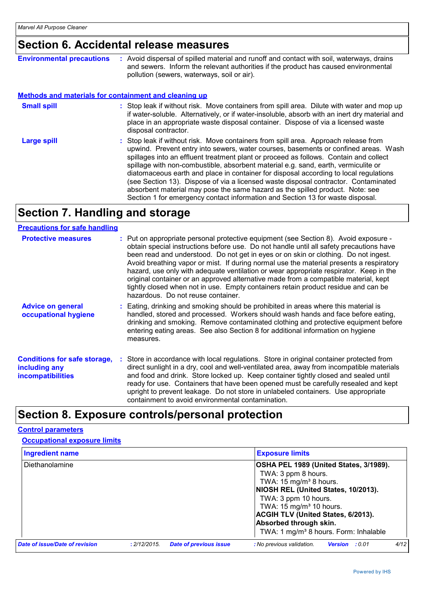### **Section 6. Accidental release measures**

| <b>Environmental precautions</b>                             | : Avoid dispersal of spilled material and runoff and contact with soil, waterways, drains<br>and sewers. Inform the relevant authorities if the product has caused environmental<br>pollution (sewers, waterways, soil or air).                                                                                                                                                                                                                                                                                                                                                                                                                                                                              |  |
|--------------------------------------------------------------|--------------------------------------------------------------------------------------------------------------------------------------------------------------------------------------------------------------------------------------------------------------------------------------------------------------------------------------------------------------------------------------------------------------------------------------------------------------------------------------------------------------------------------------------------------------------------------------------------------------------------------------------------------------------------------------------------------------|--|
| <b>Methods and materials for containment and cleaning up</b> |                                                                                                                                                                                                                                                                                                                                                                                                                                                                                                                                                                                                                                                                                                              |  |
| <b>Small spill</b>                                           | : Stop leak if without risk. Move containers from spill area. Dilute with water and mop up<br>if water-soluble. Alternatively, or if water-insoluble, absorb with an inert dry material and<br>place in an appropriate waste disposal container. Dispose of via a licensed waste<br>disposal contractor.                                                                                                                                                                                                                                                                                                                                                                                                     |  |
| <b>Large spill</b>                                           | : Stop leak if without risk. Move containers from spill area. Approach release from<br>upwind. Prevent entry into sewers, water courses, basements or confined areas. Wash<br>spillages into an effluent treatment plant or proceed as follows. Contain and collect<br>spillage with non-combustible, absorbent material e.g. sand, earth, vermiculite or<br>diatomaceous earth and place in container for disposal according to local regulations<br>(see Section 13). Dispose of via a licensed waste disposal contractor. Contaminated<br>absorbent material may pose the same hazard as the spilled product. Note: see<br>Section 1 for emergency contact information and Section 13 for waste disposal. |  |

### **Section 7. Handling and storage**

#### **Precautions for safe handling**

| <b>Protective measures</b>                                                       | : Put on appropriate personal protective equipment (see Section 8). Avoid exposure -<br>obtain special instructions before use. Do not handle until all safety precautions have<br>been read and understood. Do not get in eyes or on skin or clothing. Do not ingest.<br>Avoid breathing vapor or mist. If during normal use the material presents a respiratory<br>hazard, use only with adequate ventilation or wear appropriate respirator. Keep in the<br>original container or an approved alternative made from a compatible material, kept<br>tightly closed when not in use. Empty containers retain product residue and can be<br>hazardous. Do not reuse container. |
|----------------------------------------------------------------------------------|--------------------------------------------------------------------------------------------------------------------------------------------------------------------------------------------------------------------------------------------------------------------------------------------------------------------------------------------------------------------------------------------------------------------------------------------------------------------------------------------------------------------------------------------------------------------------------------------------------------------------------------------------------------------------------|
| <b>Advice on general</b><br>occupational hygiene                                 | : Eating, drinking and smoking should be prohibited in areas where this material is<br>handled, stored and processed. Workers should wash hands and face before eating,<br>drinking and smoking. Remove contaminated clothing and protective equipment before<br>entering eating areas. See also Section 8 for additional information on hygiene<br>measures.                                                                                                                                                                                                                                                                                                                  |
| <b>Conditions for safe storage,</b><br>including any<br><b>incompatibilities</b> | Store in accordance with local regulations. Store in original container protected from<br>direct sunlight in a dry, cool and well-ventilated area, away from incompatible materials<br>and food and drink. Store locked up. Keep container tightly closed and sealed until<br>ready for use. Containers that have been opened must be carefully resealed and kept<br>upright to prevent leakage. Do not store in unlabeled containers. Use appropriate<br>containment to avoid environmental contamination.                                                                                                                                                                    |

### **Section 8. Exposure controls/personal protection**

#### **Control parameters**

| <b>Occupational exposure limits</b>      |              |                               |                                                                                                                                                                                                                                                                                                                                      |  |  |
|------------------------------------------|--------------|-------------------------------|--------------------------------------------------------------------------------------------------------------------------------------------------------------------------------------------------------------------------------------------------------------------------------------------------------------------------------------|--|--|
| <b>Ingredient name</b><br>Diethanolamine |              |                               | <b>Exposure limits</b>                                                                                                                                                                                                                                                                                                               |  |  |
|                                          |              |                               | OSHA PEL 1989 (United States, 3/1989).<br>TWA: 3 ppm 8 hours.<br>TWA: $15 \text{ mg/m}^3$ 8 hours.<br>NIOSH REL (United States, 10/2013).<br>TWA: 3 ppm 10 hours.<br>TWA: 15 mg/m <sup>3</sup> 10 hours.<br><b>ACGIH TLV (United States, 6/2013).</b><br>Absorbed through skin.<br>TWA: 1 mg/m <sup>3</sup> 8 hours. Form: Inhalable |  |  |
| Date of issue/Date of revision           | : 2/12/2015. | <b>Date of previous issue</b> | 4/12<br>: No previous validation.<br>Version : 0.01                                                                                                                                                                                                                                                                                  |  |  |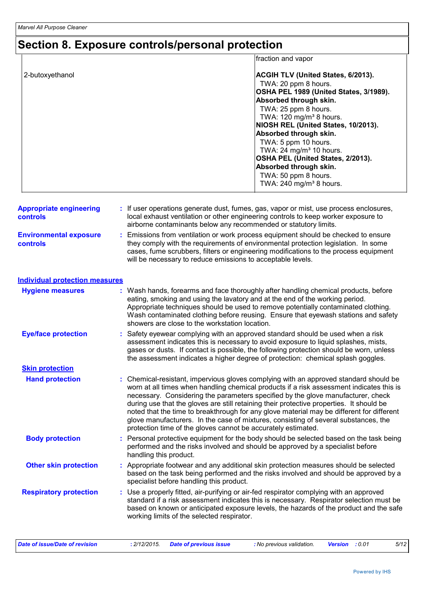### **Section 8. Exposure controls/personal protection**

|                 | fraction and vapor                     |
|-----------------|----------------------------------------|
| 2-butoxyethanol | ACGIH TLV (United States, 6/2013).     |
|                 | TWA: 20 ppm 8 hours.                   |
|                 | OSHA PEL 1989 (United States, 3/1989). |
|                 | Absorbed through skin.                 |
|                 | TWA: 25 ppm 8 hours.                   |
|                 | TWA: 120 mg/m <sup>3</sup> 8 hours.    |
|                 | NIOSH REL (United States, 10/2013).    |
|                 | Absorbed through skin.                 |
|                 | TWA: 5 ppm 10 hours.                   |
|                 | TWA: 24 mg/m <sup>3</sup> 10 hours.    |
|                 | OSHA PEL (United States, 2/2013).      |
|                 | Absorbed through skin.                 |
|                 | TWA: 50 ppm 8 hours.                   |
|                 | TWA: 240 mg/m <sup>3</sup> 8 hours.    |
|                 |                                        |

| <b>Appropriate engineering</b><br><b>controls</b> | : If user operations generate dust, fumes, gas, vapor or mist, use process enclosures,<br>local exhaust ventilation or other engineering controls to keep worker exposure to<br>airborne contaminants below any recommended or statutory limits.                                                                                |
|---------------------------------------------------|---------------------------------------------------------------------------------------------------------------------------------------------------------------------------------------------------------------------------------------------------------------------------------------------------------------------------------|
| <b>Environmental exposure</b><br><b>controls</b>  | : Emissions from ventilation or work process equipment should be checked to ensure<br>they comply with the requirements of environmental protection legislation. In some<br>cases, fume scrubbers, filters or engineering modifications to the process equipment<br>will be necessary to reduce emissions to acceptable levels. |

#### **Individual protection measures**

| <b>Hygiene measures</b>       | : Wash hands, forearms and face thoroughly after handling chemical products, before<br>eating, smoking and using the lavatory and at the end of the working period.<br>Appropriate techniques should be used to remove potentially contaminated clothing.<br>Wash contaminated clothing before reusing. Ensure that eyewash stations and safety<br>showers are close to the workstation location.                                                                                                                                                                                                                      |
|-------------------------------|------------------------------------------------------------------------------------------------------------------------------------------------------------------------------------------------------------------------------------------------------------------------------------------------------------------------------------------------------------------------------------------------------------------------------------------------------------------------------------------------------------------------------------------------------------------------------------------------------------------------|
| <b>Eye/face protection</b>    | : Safety eyewear complying with an approved standard should be used when a risk<br>assessment indicates this is necessary to avoid exposure to liquid splashes, mists,<br>gases or dusts. If contact is possible, the following protection should be worn, unless<br>the assessment indicates a higher degree of protection: chemical splash goggles.                                                                                                                                                                                                                                                                  |
| <b>Skin protection</b>        |                                                                                                                                                                                                                                                                                                                                                                                                                                                                                                                                                                                                                        |
| <b>Hand protection</b>        | : Chemical-resistant, impervious gloves complying with an approved standard should be<br>worn at all times when handling chemical products if a risk assessment indicates this is<br>necessary. Considering the parameters specified by the glove manufacturer, check<br>during use that the gloves are still retaining their protective properties. It should be<br>noted that the time to breakthrough for any glove material may be different for different<br>glove manufacturers. In the case of mixtures, consisting of several substances, the<br>protection time of the gloves cannot be accurately estimated. |
| <b>Body protection</b>        | : Personal protective equipment for the body should be selected based on the task being<br>performed and the risks involved and should be approved by a specialist before<br>handling this product.                                                                                                                                                                                                                                                                                                                                                                                                                    |
| <b>Other skin protection</b>  | : Appropriate footwear and any additional skin protection measures should be selected<br>based on the task being performed and the risks involved and should be approved by a<br>specialist before handling this product.                                                                                                                                                                                                                                                                                                                                                                                              |
| <b>Respiratory protection</b> | : Use a properly fitted, air-purifying or air-fed respirator complying with an approved<br>standard if a risk assessment indicates this is necessary. Respirator selection must be<br>based on known or anticipated exposure levels, the hazards of the product and the safe<br>working limits of the selected respirator.                                                                                                                                                                                                                                                                                             |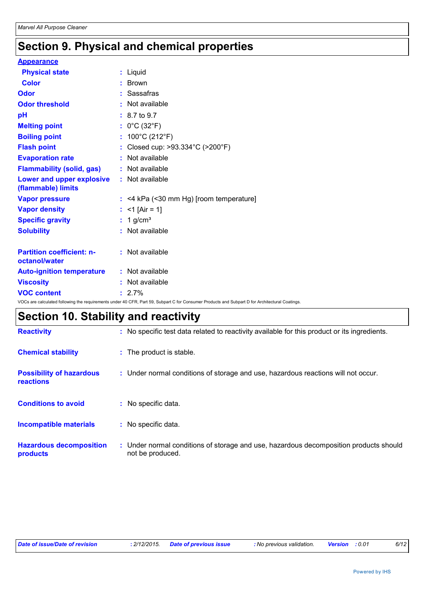### **Section 9. Physical and chemical properties**

### **Appearance**

| <b>Physical state</b>                             | : Liquid                                                                                                                                        |
|---------------------------------------------------|-------------------------------------------------------------------------------------------------------------------------------------------------|
| <b>Color</b>                                      | Brown                                                                                                                                           |
| Odor                                              | : Sassafras                                                                                                                                     |
| <b>Odor threshold</b>                             | : Not available                                                                                                                                 |
| pH                                                | $: 8.7 \text{ to } 9.7$                                                                                                                         |
| <b>Melting point</b>                              | : $0^{\circ}$ C (32 $^{\circ}$ F)                                                                                                               |
| <b>Boiling point</b>                              | : $100^{\circ}$ C (212 $^{\circ}$ F)                                                                                                            |
| <b>Flash point</b>                                | : Closed cup: >93.334°C (>200°F)                                                                                                                |
| <b>Evaporation rate</b>                           | : Not available                                                                                                                                 |
| <b>Flammability (solid, gas)</b>                  | : Not available                                                                                                                                 |
| Lower and upper explosive<br>(flammable) limits   | : Not available                                                                                                                                 |
| <b>Vapor pressure</b>                             | $:$ <4 kPa (<30 mm Hg) [room temperature]                                                                                                       |
| <b>Vapor density</b>                              | : $<$ 1 [Air = 1]                                                                                                                               |
| <b>Specific gravity</b>                           | $: 1$ g/cm <sup>3</sup>                                                                                                                         |
| <b>Solubility</b>                                 | : Not available                                                                                                                                 |
| <b>Partition coefficient: n-</b><br>octanol/water | $:$ Not available                                                                                                                               |
| <b>Auto-ignition temperature</b>                  | : Not available                                                                                                                                 |
| <b>Viscosity</b>                                  | : Not available                                                                                                                                 |
| <b>VOC content</b>                                | $: 2.7\%$                                                                                                                                       |
|                                                   | VOCs are calculated following the requirements under 40 CFR, Part 59, Subpart C for Consumer Products and Subpart D for Architectural Coatings. |

### **Section 10. Stability and reactivity**

| <b>Reactivity</b>                            | : No specific test data related to reactivity available for this product or its ingredients.              |
|----------------------------------------------|-----------------------------------------------------------------------------------------------------------|
| <b>Chemical stability</b>                    | : The product is stable.                                                                                  |
| <b>Possibility of hazardous</b><br>reactions | : Under normal conditions of storage and use, hazardous reactions will not occur.                         |
| <b>Conditions to avoid</b>                   | : No specific data.                                                                                       |
| Incompatible materials                       | : No specific data.                                                                                       |
| <b>Hazardous decomposition</b><br>products   | : Under normal conditions of storage and use, hazardous decomposition products should<br>not be produced. |

| Date of issue/Date of revision | : 2/12/2015. Date of previous issue | : No previous validation. | <b>Version</b> :0.01 |  |
|--------------------------------|-------------------------------------|---------------------------|----------------------|--|
|--------------------------------|-------------------------------------|---------------------------|----------------------|--|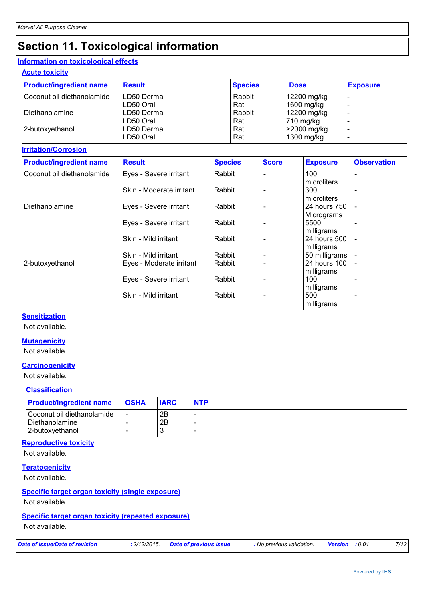### **Section 11. Toxicological information**

#### **Information on toxicological effects**

#### **Acute toxicity**

| <b>Product/ingredient name</b> | <b>Result</b> | <b>Species</b> | <b>Dose</b>           | <b>Exposure</b> |
|--------------------------------|---------------|----------------|-----------------------|-----------------|
| Coconut oil diethanolamide     | LD50 Dermal   | Rabbit         | 12200 mg/kg           |                 |
|                                | LD50 Oral     | Rat            | 1600 mg/kg            |                 |
| Diethanolamine                 | LD50 Dermal   | Rabbit         | 12200 mg/kg           |                 |
|                                | LD50 Oral     | Rat            | $ 710 \text{ mg/kg} $ |                 |
| 2-butoxyethanol                | LD50 Dermal   | Rat            | >2000 mg/kg           |                 |
|                                | LD50 Oral     | Rat            | 1300 mg/kg            |                 |

#### **Irritation/Corrosion**

| <b>Product/ingredient name</b> | <b>Result</b>            | <b>Species</b> | <b>Score</b> | <b>Exposure</b> | <b>Observation</b>       |
|--------------------------------|--------------------------|----------------|--------------|-----------------|--------------------------|
| Coconut oil diethanolamide     | Eyes - Severe irritant   | Rabbit         |              | 100             |                          |
|                                |                          |                |              | microliters     |                          |
|                                | Skin - Moderate irritant | Rabbit         |              | 300             | $\overline{\phantom{0}}$ |
|                                |                          |                |              | microliters     |                          |
| Diethanolamine                 | Eyes - Severe irritant   | Rabbit         |              | 24 hours 750    | $\overline{\phantom{a}}$ |
|                                |                          |                |              | Micrograms      |                          |
|                                | Eyes - Severe irritant   | Rabbit         |              | 5500            |                          |
|                                |                          |                |              | milligrams      |                          |
|                                | Skin - Mild irritant     | Rabbit         |              | 24 hours 500    |                          |
|                                |                          |                |              | milligrams      |                          |
|                                | Skin - Mild irritant     | Rabbit         |              | 50 milligrams   |                          |
| 2-butoxyethanol                | Eyes - Moderate irritant | Rabbit         |              | 24 hours 100    |                          |
|                                |                          |                |              | milligrams      |                          |
|                                | Eyes - Severe irritant   | Rabbit         |              | 100             |                          |
|                                |                          |                |              | milligrams      |                          |
|                                | Skin - Mild irritant     | Rabbit         |              | 500             |                          |
|                                |                          |                |              | milligrams      |                          |

#### **Sensitization**

Not available.

#### **Mutagenicity**

Not available.

#### **Carcinogenicity**

Not available.

#### **Classification**

| <b>Product/ingredient name</b>                 | <b>OSHA</b> | <b>IARC</b> | <b>NTP</b> |
|------------------------------------------------|-------------|-------------|------------|
| l Coconut oil diethanolamide<br>Diethanolamine |             | 2B<br>2B    |            |
| 2-butoxyethanol                                |             |             |            |

#### **Reproductive toxicity**

Not available.

#### **Teratogenicity**

Not available.

#### **Specific target organ toxicity (single exposure)**

Not available.

#### **Specific target organ toxicity (repeated exposure)**

Not available.

|  |  | Date of issue/Date of revision |  |
|--|--|--------------------------------|--|
|  |  |                                |  |

*Date of issue/Date of revision* **:** *2/12/2015. Date of previous issue : No previous validation. Version : 0.01 7/12*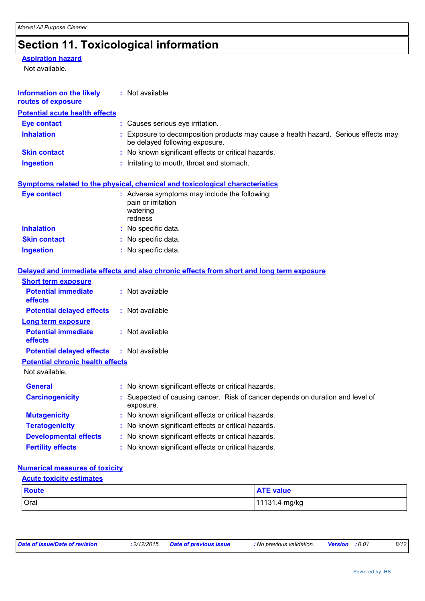## **Section 11. Toxicological information**

#### **Aspiration hazard**

Not available.

| <b>Information on the likely</b><br>routes of exposure | : Not available                                                                                                     |  |  |  |
|--------------------------------------------------------|---------------------------------------------------------------------------------------------------------------------|--|--|--|
| <b>Potential acute health effects</b>                  |                                                                                                                     |  |  |  |
| <b>Eye contact</b>                                     | : Causes serious eye irritation.                                                                                    |  |  |  |
| <b>Inhalation</b>                                      | Exposure to decomposition products may cause a health hazard. Serious effects may<br>be delayed following exposure. |  |  |  |
| <b>Skin contact</b>                                    | : No known significant effects or critical hazards.                                                                 |  |  |  |
| <b>Ingestion</b>                                       | : Irritating to mouth, throat and stomach.                                                                          |  |  |  |
|                                                        | Symptoms related to the physical, chemical and toxicological characteristics                                        |  |  |  |
| <b>Eye contact</b>                                     | : Adverse symptoms may include the following:<br>pain or irritation<br>watering<br>redness                          |  |  |  |
| <b>Inhalation</b>                                      | : No specific data.                                                                                                 |  |  |  |
| <b>Skin contact</b>                                    | : No specific data.                                                                                                 |  |  |  |
| <b>Ingestion</b>                                       | : No specific data.                                                                                                 |  |  |  |
|                                                        | Delayed and immediate effects and also chronic effects from short and long term exposure                            |  |  |  |
| <b>Short term exposure</b>                             |                                                                                                                     |  |  |  |
| <b>Potential immediate</b><br>effects                  | : Not available                                                                                                     |  |  |  |
| <b>Potential delayed effects</b>                       | $:$ Not available                                                                                                   |  |  |  |
| <b>Long term exposure</b>                              |                                                                                                                     |  |  |  |
| <b>Potential immediate</b><br>effects                  | : Not available                                                                                                     |  |  |  |
| <b>Potential delayed effects</b>                       | : Not available                                                                                                     |  |  |  |
| <b>Potential chronic health effects</b>                |                                                                                                                     |  |  |  |
| Not available.                                         |                                                                                                                     |  |  |  |
| <b>General</b>                                         | : No known significant effects or critical hazards.                                                                 |  |  |  |
| <b>Carcinogenicity</b>                                 | Suspected of causing cancer. Risk of cancer depends on duration and level of<br>exposure.                           |  |  |  |
| <b>Mutagenicity</b>                                    | No known significant effects or critical hazards.                                                                   |  |  |  |
| <b>Teratogenicity</b>                                  | : No known significant effects or critical hazards.                                                                 |  |  |  |
| <b>Developmental effects</b>                           | No known significant effects or critical hazards.                                                                   |  |  |  |
| <b>Fertility effects</b>                               | No known significant effects or critical hazards.                                                                   |  |  |  |
|                                                        |                                                                                                                     |  |  |  |

#### **Numerical measures of toxicity**

| <b>Acute toxicity estimates</b> |                  |  |  |  |
|---------------------------------|------------------|--|--|--|
| Route                           | <b>ATE value</b> |  |  |  |
| Oral                            | 11131.4 mg/kg    |  |  |  |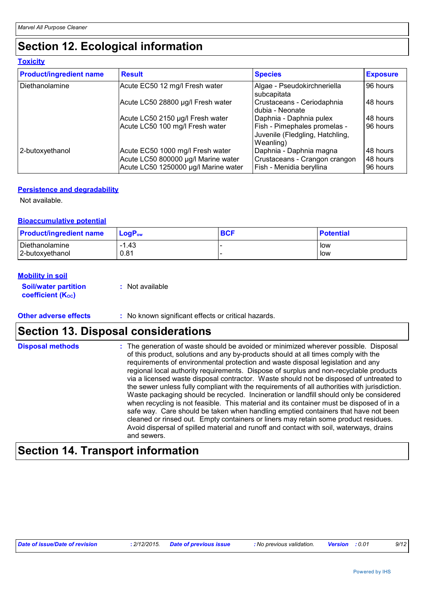### **Section 12. Ecological information**

| <b>Toxicity</b>                |                                                                                                                 |                                                                                      |                                  |  |  |  |
|--------------------------------|-----------------------------------------------------------------------------------------------------------------|--------------------------------------------------------------------------------------|----------------------------------|--|--|--|
| <b>Product/ingredient name</b> | <b>Result</b>                                                                                                   | <b>Species</b>                                                                       | <b>Exposure</b>                  |  |  |  |
| Diethanolamine                 | Acute EC50 12 mg/l Fresh water                                                                                  | Algae - Pseudokirchneriella<br>subcapitata                                           | 96 hours                         |  |  |  |
|                                | Acute LC50 28800 µg/l Fresh water                                                                               | Crustaceans - Ceriodaphnia<br>dubia - Neonate                                        | 48 hours                         |  |  |  |
|                                | Acute LC50 2150 µg/l Fresh water                                                                                | Daphnia - Daphnia pulex                                                              | 48 hours                         |  |  |  |
|                                | Acute LC50 100 mg/l Fresh water                                                                                 | Fish - Pimephales promelas -<br>Juvenile (Fledgling, Hatchling,<br>Weanling)         | 96 hours                         |  |  |  |
| 2-butoxyethanol                | Acute EC50 1000 mg/l Fresh water<br>Acute LC50 800000 µg/l Marine water<br>Acute LC50 1250000 µg/l Marine water | Daphnia - Daphnia magna<br>Crustaceans - Crangon crangon<br>Fish - Menidia beryllina | 48 hours<br>48 hours<br>96 hours |  |  |  |

#### **Persistence and degradability**

Not available.

#### **Bioaccumulative potential**

| <b>Product/ingredient name</b> | $\mathsf{LogP}_\mathsf{ow}$ | <b>BCF</b> | <b>Potential</b> |
|--------------------------------|-----------------------------|------------|------------------|
| Diethanolamine                 | 1.43                        |            | low              |
| 2-butoxyethanol                | 0.81                        |            | low              |

#### **Mobility in soil**

| <b>Soil/water partition</b> | : Not available |
|-----------------------------|-----------------|
| <b>coefficient (Koc)</b>    |                 |

#### **Other adverse effects** : No known significant effects or critical hazards.

### **Section 13. Disposal considerations**

| of this product, solutions and any by-products should at all times comply with the<br>and sewers. | requirements of environmental protection and waste disposal legislation and any<br>regional local authority requirements. Dispose of surplus and non-recyclable products<br>via a licensed waste disposal contractor. Waste should not be disposed of untreated to<br>the sewer unless fully compliant with the requirements of all authorities with jurisdiction.<br>Waste packaging should be recycled. Incineration or landfill should only be considered<br>when recycling is not feasible. This material and its container must be disposed of in a<br>safe way. Care should be taken when handling emptied containers that have not been<br>cleaned or rinsed out. Empty containers or liners may retain some product residues.<br>Avoid dispersal of spilled material and runoff and contact with soil, waterways, drains |
|---------------------------------------------------------------------------------------------------|----------------------------------------------------------------------------------------------------------------------------------------------------------------------------------------------------------------------------------------------------------------------------------------------------------------------------------------------------------------------------------------------------------------------------------------------------------------------------------------------------------------------------------------------------------------------------------------------------------------------------------------------------------------------------------------------------------------------------------------------------------------------------------------------------------------------------------|
|---------------------------------------------------------------------------------------------------|----------------------------------------------------------------------------------------------------------------------------------------------------------------------------------------------------------------------------------------------------------------------------------------------------------------------------------------------------------------------------------------------------------------------------------------------------------------------------------------------------------------------------------------------------------------------------------------------------------------------------------------------------------------------------------------------------------------------------------------------------------------------------------------------------------------------------------|

### **Section 14. Transport information**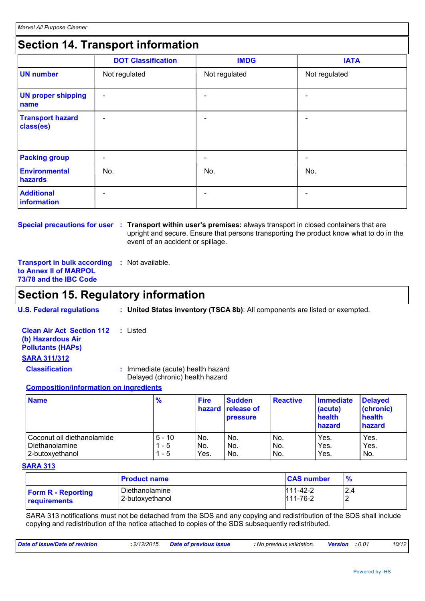### **Section 14. Transport information**

|                                      | <b>DOT Classification</b> | <b>IMDG</b>              | <b>IATA</b>              |
|--------------------------------------|---------------------------|--------------------------|--------------------------|
| <b>UN number</b>                     | Not regulated             | Not regulated            | Not regulated            |
| <b>UN proper shipping</b><br>name    | $\overline{\phantom{a}}$  |                          | $\overline{\phantom{0}}$ |
| <b>Transport hazard</b><br>class(es) | $\overline{\phantom{a}}$  | $\overline{\phantom{0}}$ | $\overline{\phantom{0}}$ |
| <b>Packing group</b>                 | $\overline{\phantom{a}}$  | $\overline{\phantom{0}}$ | -                        |
| <b>Environmental</b><br>hazards      | No.                       | No.                      | No.                      |
| <b>Additional</b><br>information     | $\overline{\phantom{0}}$  |                          |                          |

**Special precautions for user** : Transport within user's premises: always transport in closed containers that are upright and secure. Ensure that persons transporting the product know what to do in the event of an accident or spillage.

**Transport in bulk according :** Not available. **to Annex II of MARPOL 73/78 and the IBC Code**

### **Section 15. Regulatory information**

| <b>U.S. Federal regulations</b> |  | <b>United States inventory (TSCA 8b)</b> : All components are listed or exempted. |  |
|---------------------------------|--|-----------------------------------------------------------------------------------|--|
|                                 |  |                                                                                   |  |

| <b>Clean Air Act Section 112 : Listed</b><br>(b) Hazardous Air<br><b>Pollutants (HAPs)</b>                                                                                                                                     |                                                                      |
|--------------------------------------------------------------------------------------------------------------------------------------------------------------------------------------------------------------------------------|----------------------------------------------------------------------|
| <b>SARA 311/312</b>                                                                                                                                                                                                            |                                                                      |
| <b>Classification</b>                                                                                                                                                                                                          | : Immediate (acute) health hazard<br>Delayed (chronic) health hazard |
| A a constantibility of the figures of the constant of the control of the control of the control of the control of the control of the control of the control of the control of the control of the control of the control of the |                                                                      |

#### **Composition/information on ingredients**

| <b>Name</b>                | $\frac{9}{6}$ | <b>Fire</b><br><b>hazard</b> | <b>Sudden</b><br><b>release of</b><br><b>pressure</b> | <b>Reactive</b> | Immediate<br>(acute)<br>health<br>hazard | <b>Delayed</b><br>(chronic)<br>health<br>hazard |
|----------------------------|---------------|------------------------------|-------------------------------------------------------|-----------------|------------------------------------------|-------------------------------------------------|
| Coconut oil diethanolamide | $5 - 10$      | No.                          | No.                                                   | No.             | Yes.                                     | Yes.                                            |
| l Diethanolamine           | - 5           | No.                          | No.                                                   | No.             | Yes.                                     | Yes.                                            |
| 2-butoxyethanol            | - 5           | Yes.                         | No.                                                   | No.             | Yes.                                     | No.                                             |

#### **SARA 313**

|                           | <b>Product name</b> | <b>CAS number</b> | %   |
|---------------------------|---------------------|-------------------|-----|
| <b>Form R</b> - Reporting | l Diethanolamine    | $111 - 42 - 2$    | 2.4 |
| requirements              | 2-butoxyethanol     | $111 - 76 - 2$    |     |

SARA 313 notifications must not be detached from the SDS and any copying and redistribution of the SDS shall include copying and redistribution of the notice attached to copies of the SDS subsequently redistributed.

| Date of issue/Date of revision | : 2/12/2015. Date of previous issue | : No previous validation. | <b>Version</b> : 0.01 | 10/12 |
|--------------------------------|-------------------------------------|---------------------------|-----------------------|-------|
|                                |                                     |                           |                       |       |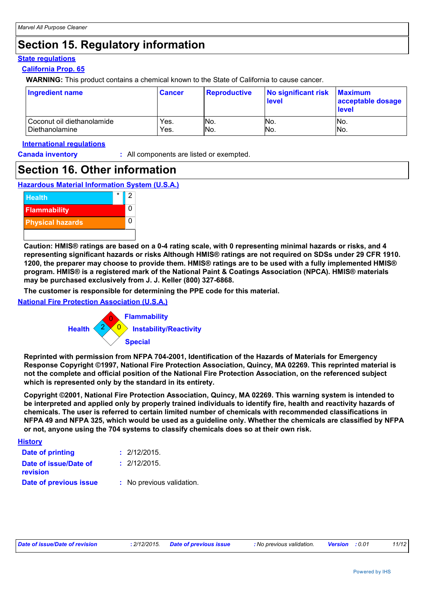### **Section 15. Regulatory information**

#### **State regulations**

#### **California Prop. 65**

**WARNING:** This product contains a chemical known to the State of California to cause cancer.

| Ingredient name              | <b>Cancer</b> | <b>Reproductive</b> | No significant risk<br>level | <b>Maximum</b><br>acceptable dosage<br><b>level</b> |
|------------------------------|---------------|---------------------|------------------------------|-----------------------------------------------------|
| l Coconut oil diethanolamide | Yes.          | No.                 | No.                          | No.                                                 |
| Diethanolamine               | Yes.          | INo.                | No.                          | No.                                                 |

#### **International regulations**

**Canada inventory :** All components are listed or exempted.

### **Section 16. Other information**





**Caution: HMIS® ratings are based on a 0-4 rating scale, with 0 representing minimal hazards or risks, and 4 representing significant hazards or risks Although HMIS® ratings are not required on SDSs under 29 CFR 1910. 1200, the preparer may choose to provide them. HMIS® ratings are to be used with a fully implemented HMIS® program. HMIS® is a registered mark of the National Paint & Coatings Association (NPCA). HMIS® materials may be purchased exclusively from J. J. Keller (800) 327-6868.**

**The customer is responsible for determining the PPE code for this material.**

**National Fire Protection Association (U.S.A.)**



**Reprinted with permission from NFPA 704-2001, Identification of the Hazards of Materials for Emergency Response Copyright ©1997, National Fire Protection Association, Quincy, MA 02269. This reprinted material is not the complete and official position of the National Fire Protection Association, on the referenced subject which is represented only by the standard in its entirety.**

**Copyright ©2001, National Fire Protection Association, Quincy, MA 02269. This warning system is intended to be interpreted and applied only by properly trained individuals to identify fire, health and reactivity hazards of chemicals. The user is referred to certain limited number of chemicals with recommended classifications in NFPA 49 and NFPA 325, which would be used as a guideline only. Whether the chemicals are classified by NFPA or not, anyone using the 704 systems to classify chemicals does so at their own risk.**

| <b>History</b>                    |                           |
|-----------------------------------|---------------------------|
| <b>Date of printing</b>           | : 2/12/2015.              |
| Date of issue/Date of<br>revision | : 2/12/2015.              |
| Date of previous issue            | : No previous validation. |